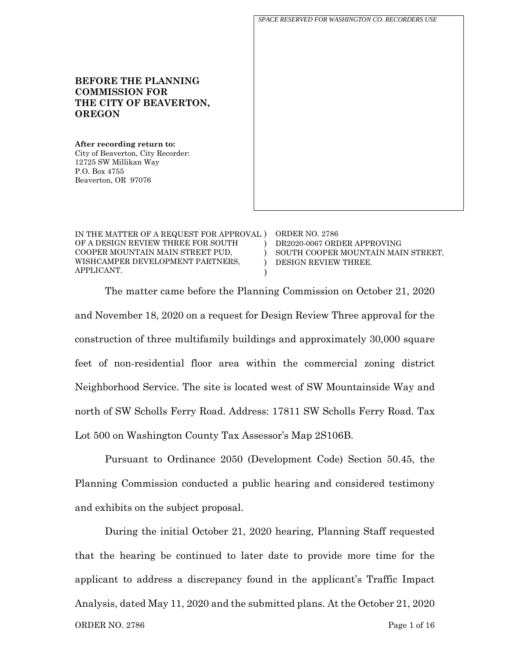**BEFORE THE PLANNING COMMISSION FOR THE CITY OF BEAVERTON, OREGON After recording return to:** City of Beaverton, City Recorder: 12725 SW Millikan Way P.O. Box 4755 Beaverton, OR 97076 *SPACE RESERVED FOR WASHINGTON CO. RECORDERS USE*

| IN THE MATTER OF A REQUEST FOR APPROVAL ) ORDER NO. 2786 |                                    |
|----------------------------------------------------------|------------------------------------|
| OF A DESIGN REVIEW THREE FOR SOUTH                       | DR2020-0067 ORDER APPROVING        |
| COOPER MOUNTAIN MAIN STREET PUD.                         | SOUTH COOPER MOUNTAIN MAIN STREET, |
| WISHCAMPER DEVELOPMENT PARTNERS,                         | DESIGN REVIEW THREE.               |
| APPLICANT.                                               |                                    |

The matter came before the Planning Commission on October 21, 2020 and November 18, 2020 on a request for Design Review Three approval for the construction of three multifamily buildings and approximately 30,000 square feet of non-residential floor area within the commercial zoning district Neighborhood Service. The site is located west of SW Mountainside Way and north of SW Scholls Ferry Road. Address: 17811 SW Scholls Ferry Road. Tax Lot 500 on Washington County Tax Assessor's Map 2S106B.

Pursuant to Ordinance 2050 (Development Code) Section 50.45, the Planning Commission conducted a public hearing and considered testimony and exhibits on the subject proposal.

ORDER NO. 2786 Page 1 of 16 During the initial October 21, 2020 hearing, Planning Staff requested that the hearing be continued to later date to provide more time for the applicant to address a discrepancy found in the applicant's Traffic Impact Analysis, dated May 11, 2020 and the submitted plans. At the October 21, 2020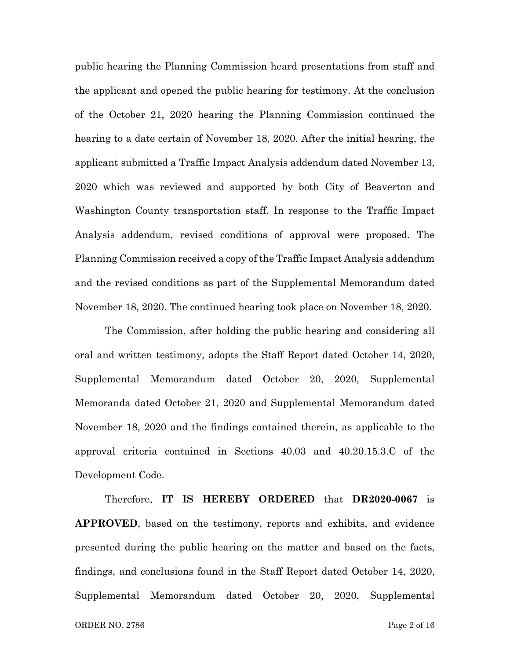public hearing the Planning Commission heard presentations from staff and the applicant and opened the public hearing for testimony. At the conclusion of the October 21, 2020 hearing the Planning Commission continued the hearing to a date certain of November 18, 2020. After the initial hearing, the applicant submitted a Traffic Impact Analysis addendum dated November 13, 2020 which was reviewed and supported by both City of Beaverton and Washington County transportation staff. In response to the Traffic Impact Analysis addendum, revised conditions of approval were proposed. The Planning Commission received a copy of the Traffic Impact Analysis addendum and the revised conditions as part of the Supplemental Memorandum dated November 18, 2020. The continued hearing took place on November 18, 2020.

The Commission, after holding the public hearing and considering all oral and written testimony, adopts the Staff Report dated October 14, 2020, Supplemental Memorandum dated October 20, 2020, Supplemental Memoranda dated October 21, 2020 and Supplemental Memorandum dated November 18, 2020 and the findings contained therein, as applicable to the approval criteria contained in Sections 40.03 and 40.20.15.3.C of the Development Code.

Therefore, **IT IS HEREBY ORDERED** that **DR2020-0067** is **APPROVED**, based on the testimony, reports and exhibits, and evidence presented during the public hearing on the matter and based on the facts, findings, and conclusions found in the Staff Report dated October 14, 2020, Supplemental Memorandum dated October 20, 2020, Supplemental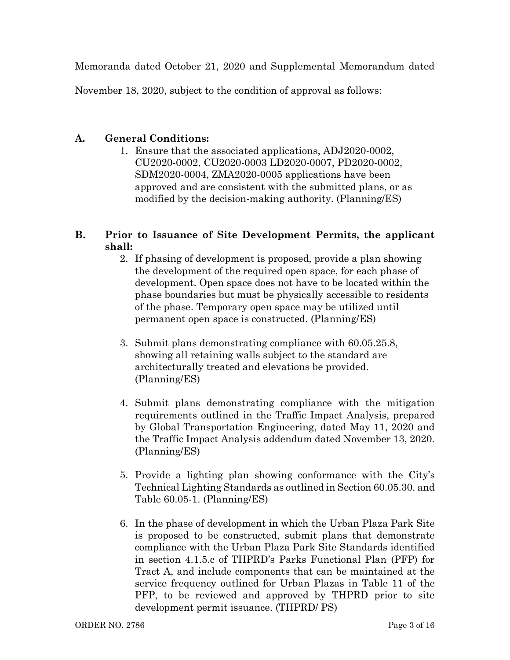Memoranda dated October 21, 2020 and Supplemental Memorandum dated

November 18, 2020, subject to the condition of approval as follows:

## **A. General Conditions:**

1. Ensure that the associated applications, ADJ2020-0002, CU2020-0002, CU2020-0003 LD2020-0007, PD2020-0002, SDM2020-0004, ZMA2020-0005 applications have been approved and are consistent with the submitted plans, or as modified by the decision-making authority. (Planning/ES)

# **B. Prior to Issuance of Site Development Permits, the applicant shall:**

- 2. If phasing of development is proposed, provide a plan showing the development of the required open space, for each phase of development. Open space does not have to be located within the phase boundaries but must be physically accessible to residents of the phase. Temporary open space may be utilized until permanent open space is constructed. (Planning/ES)
- 3. Submit plans demonstrating compliance with 60.05.25.8, showing all retaining walls subject to the standard are architecturally treated and elevations be provided. (Planning/ES)
- 4. Submit plans demonstrating compliance with the mitigation requirements outlined in the Traffic Impact Analysis, prepared by Global Transportation Engineering, dated May 11, 2020 and the Traffic Impact Analysis addendum dated November 13, 2020. (Planning/ES)
- 5. Provide a lighting plan showing conformance with the City's Technical Lighting Standards as outlined in Section 60.05.30. and Table 60.05-1. (Planning/ES)
- 6. In the phase of development in which the Urban Plaza Park Site is proposed to be constructed, submit plans that demonstrate compliance with the Urban Plaza Park Site Standards identified in section 4.1.5.c of THPRD's Parks Functional Plan (PFP) for Tract A, and include components that can be maintained at the service frequency outlined for Urban Plazas in Table 11 of the PFP, to be reviewed and approved by THPRD prior to site development permit issuance. (THPRD/ PS)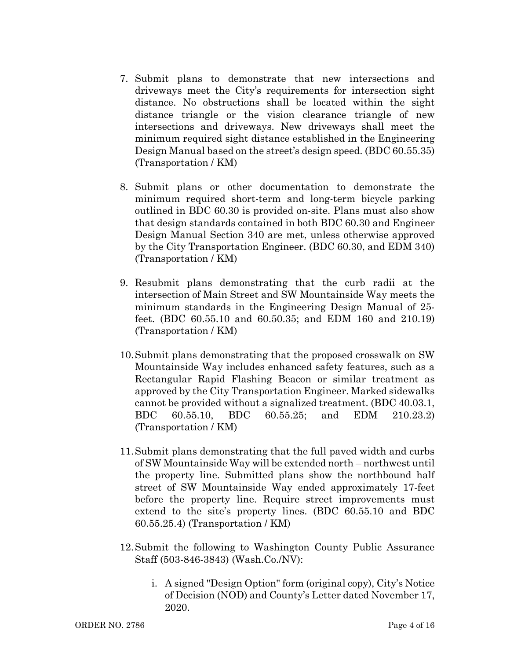- 7. Submit plans to demonstrate that new intersections and driveways meet the City's requirements for intersection sight distance. No obstructions shall be located within the sight distance triangle or the vision clearance triangle of new intersections and driveways. New driveways shall meet the minimum required sight distance established in the Engineering Design Manual based on the street's design speed. (BDC 60.55.35) (Transportation / KM)
- 8. Submit plans or other documentation to demonstrate the minimum required short-term and long-term bicycle parking outlined in BDC 60.30 is provided on-site. Plans must also show that design standards contained in both BDC 60.30 and Engineer Design Manual Section 340 are met, unless otherwise approved by the City Transportation Engineer. (BDC 60.30, and EDM 340) (Transportation / KM)
- 9. Resubmit plans demonstrating that the curb radii at the intersection of Main Street and SW Mountainside Way meets the minimum standards in the Engineering Design Manual of 25 feet. (BDC 60.55.10 and 60.50.35; and EDM 160 and 210.19) (Transportation / KM)
- 10.Submit plans demonstrating that the proposed crosswalk on SW Mountainside Way includes enhanced safety features, such as a Rectangular Rapid Flashing Beacon or similar treatment as approved by the City Transportation Engineer. Marked sidewalks cannot be provided without a signalized treatment. (BDC 40.03.1, BDC 60.55.10, BDC 60.55.25; and EDM 210.23.2) (Transportation / KM)
- 11.Submit plans demonstrating that the full paved width and curbs of SW Mountainside Way will be extended north – northwest until the property line. Submitted plans show the northbound half street of SW Mountainside Way ended approximately 17-feet before the property line. Require street improvements must extend to the site's property lines. (BDC 60.55.10 and BDC 60.55.25.4) (Transportation / KM)
- 12.Submit the following to Washington County Public Assurance Staff (503-846-3843) (Wash.Co./NV):
	- i. A signed "Design Option" form (original copy), City's Notice of Decision (NOD) and County's Letter dated November 17, 2020.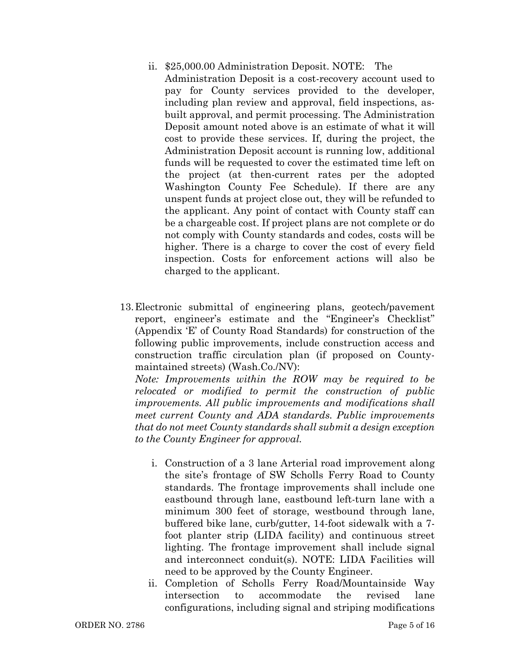- ii. \$25,000.00 Administration Deposit. NOTE: The Administration Deposit is a cost-recovery account used to pay for County services provided to the developer, including plan review and approval, field inspections, asbuilt approval, and permit processing. The Administration Deposit amount noted above is an estimate of what it will cost to provide these services. If, during the project, the Administration Deposit account is running low, additional funds will be requested to cover the estimated time left on the project (at then-current rates per the adopted Washington County Fee Schedule). If there are any unspent funds at project close out, they will be refunded to the applicant. Any point of contact with County staff can be a chargeable cost. If project plans are not complete or do not comply with County standards and codes, costs will be higher. There is a charge to cover the cost of every field inspection. Costs for enforcement actions will also be charged to the applicant.
- 13.Electronic submittal of engineering plans, geotech/pavement report, engineer's estimate and the "Engineer's Checklist" (Appendix 'E' of County Road Standards) for construction of the following public improvements, include construction access and construction traffic circulation plan (if proposed on Countymaintained streets) (Wash.Co./NV):

*Note: Improvements within the ROW may be required to be relocated or modified to permit the construction of public improvements. All public improvements and modifications shall meet current County and ADA standards. Public improvements that do not meet County standards shall submit a design exception to the County Engineer for approval.*

- i. Construction of a 3 lane Arterial road improvement along the site's frontage of SW Scholls Ferry Road to County standards. The frontage improvements shall include one eastbound through lane, eastbound left-turn lane with a minimum 300 feet of storage, westbound through lane, buffered bike lane, curb/gutter, 14-foot sidewalk with a 7 foot planter strip (LIDA facility) and continuous street lighting. The frontage improvement shall include signal and interconnect conduit(s). NOTE: LIDA Facilities will need to be approved by the County Engineer.
- ii. Completion of Scholls Ferry Road/Mountainside Way intersection to accommodate the revised lane configurations, including signal and striping modifications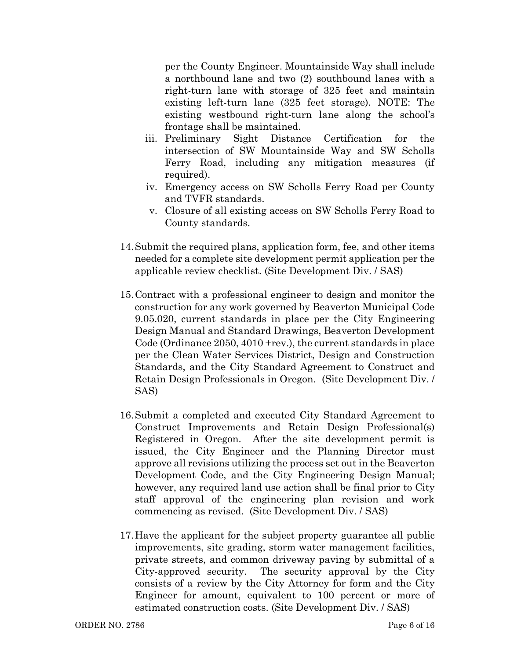per the County Engineer. Mountainside Way shall include a northbound lane and two (2) southbound lanes with a right-turn lane with storage of 325 feet and maintain existing left-turn lane (325 feet storage). NOTE: The existing westbound right-turn lane along the school's frontage shall be maintained.

- iii. Preliminary Sight Distance Certification for the intersection of SW Mountainside Way and SW Scholls Ferry Road, including any mitigation measures (if required).
- iv. Emergency access on SW Scholls Ferry Road per County and TVFR standards.
- v. Closure of all existing access on SW Scholls Ferry Road to County standards.
- 14.Submit the required plans, application form, fee, and other items needed for a complete site development permit application per the applicable review checklist. (Site Development Div. / SAS)
- 15.Contract with a professional engineer to design and monitor the construction for any work governed by Beaverton Municipal Code 9.05.020, current standards in place per the City Engineering Design Manual and Standard Drawings, Beaverton Development Code (Ordinance 2050, 4010 +rev.), the current standards in place per the Clean Water Services District, Design and Construction Standards, and the City Standard Agreement to Construct and Retain Design Professionals in Oregon. (Site Development Div. / SAS)
- 16.Submit a completed and executed City Standard Agreement to Construct Improvements and Retain Design Professional(s) Registered in Oregon. After the site development permit is issued, the City Engineer and the Planning Director must approve all revisions utilizing the process set out in the Beaverton Development Code, and the City Engineering Design Manual; however, any required land use action shall be final prior to City staff approval of the engineering plan revision and work commencing as revised. (Site Development Div. / SAS)
- 17.Have the applicant for the subject property guarantee all public improvements, site grading, storm water management facilities, private streets, and common driveway paving by submittal of a City-approved security. The security approval by the City consists of a review by the City Attorney for form and the City Engineer for amount, equivalent to 100 percent or more of estimated construction costs. (Site Development Div. / SAS)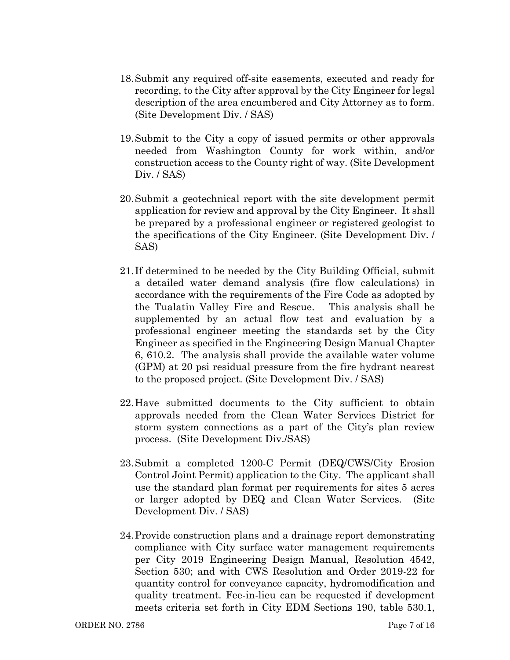- 18.Submit any required off-site easements, executed and ready for recording, to the City after approval by the City Engineer for legal description of the area encumbered and City Attorney as to form. (Site Development Div. / SAS)
- 19.Submit to the City a copy of issued permits or other approvals needed from Washington County for work within, and/or construction access to the County right of way. (Site Development Div. / SAS)
- 20.Submit a geotechnical report with the site development permit application for review and approval by the City Engineer. It shall be prepared by a professional engineer or registered geologist to the specifications of the City Engineer. (Site Development Div. / SAS)
- 21. If determined to be needed by the City Building Official, submit a detailed water demand analysis (fire flow calculations) in accordance with the requirements of the Fire Code as adopted by the Tualatin Valley Fire and Rescue. This analysis shall be supplemented by an actual flow test and evaluation by a professional engineer meeting the standards set by the City Engineer as specified in the Engineering Design Manual Chapter 6, 610.2. The analysis shall provide the available water volume (GPM) at 20 psi residual pressure from the fire hydrant nearest to the proposed project. (Site Development Div. / SAS)
- 22.Have submitted documents to the City sufficient to obtain approvals needed from the Clean Water Services District for storm system connections as a part of the City's plan review process. (Site Development Div./SAS)
- 23.Submit a completed 1200-C Permit (DEQ/CWS/City Erosion Control Joint Permit) application to the City. The applicant shall use the standard plan format per requirements for sites 5 acres or larger adopted by DEQ and Clean Water Services. (Site Development Div. / SAS)
- 24.Provide construction plans and a drainage report demonstrating compliance with City surface water management requirements per City 2019 Engineering Design Manual, Resolution 4542, Section 530; and with CWS Resolution and Order 2019-22 for quantity control for conveyance capacity, hydromodification and quality treatment. Fee-in-lieu can be requested if development meets criteria set forth in City EDM Sections 190, table 530.1,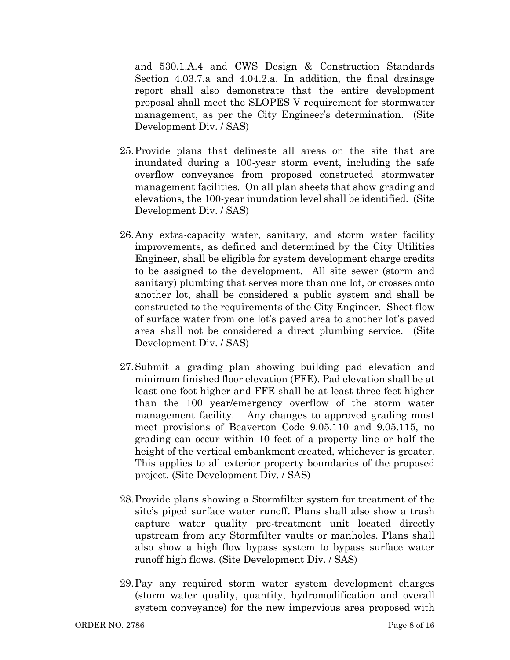and 530.1.A.4 and CWS Design & Construction Standards Section 4.03.7.a and 4.04.2.a. In addition, the final drainage report shall also demonstrate that the entire development proposal shall meet the SLOPES V requirement for stormwater management, as per the City Engineer's determination. (Site Development Div. / SAS)

- 25.Provide plans that delineate all areas on the site that are inundated during a 100-year storm event, including the safe overflow conveyance from proposed constructed stormwater management facilities. On all plan sheets that show grading and elevations, the 100-year inundation level shall be identified. (Site Development Div. / SAS)
- 26.Any extra-capacity water, sanitary, and storm water facility improvements, as defined and determined by the City Utilities Engineer, shall be eligible for system development charge credits to be assigned to the development. All site sewer (storm and sanitary) plumbing that serves more than one lot, or crosses onto another lot, shall be considered a public system and shall be constructed to the requirements of the City Engineer. Sheet flow of surface water from one lot's paved area to another lot's paved area shall not be considered a direct plumbing service. (Site Development Div. / SAS)
- 27.Submit a grading plan showing building pad elevation and minimum finished floor elevation (FFE). Pad elevation shall be at least one foot higher and FFE shall be at least three feet higher than the 100 year/emergency overflow of the storm water management facility. Any changes to approved grading must meet provisions of Beaverton Code 9.05.110 and 9.05.115, no grading can occur within 10 feet of a property line or half the height of the vertical embankment created, whichever is greater. This applies to all exterior property boundaries of the proposed project. (Site Development Div. / SAS)
- 28.Provide plans showing a Stormfilter system for treatment of the site's piped surface water runoff. Plans shall also show a trash capture water quality pre-treatment unit located directly upstream from any Stormfilter vaults or manholes. Plans shall also show a high flow bypass system to bypass surface water runoff high flows. (Site Development Div. / SAS)
- 29.Pay any required storm water system development charges (storm water quality, quantity, hydromodification and overall system conveyance) for the new impervious area proposed with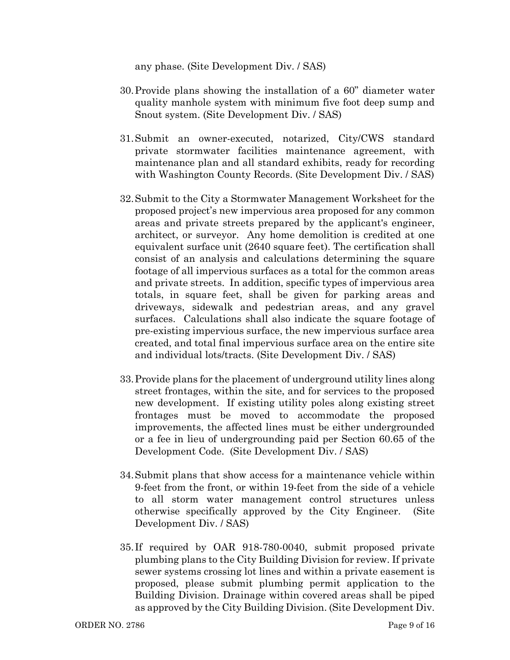any phase. (Site Development Div. / SAS)

- 30.Provide plans showing the installation of a 60" diameter water quality manhole system with minimum five foot deep sump and Snout system. (Site Development Div. / SAS)
- 31.Submit an owner-executed, notarized, City/CWS standard private stormwater facilities maintenance agreement, with maintenance plan and all standard exhibits, ready for recording with Washington County Records. (Site Development Div. / SAS)
- 32.Submit to the City a Stormwater Management Worksheet for the proposed project's new impervious area proposed for any common areas and private streets prepared by the applicant's engineer, architect, or surveyor. Any home demolition is credited at one equivalent surface unit (2640 square feet). The certification shall consist of an analysis and calculations determining the square footage of all impervious surfaces as a total for the common areas and private streets. In addition, specific types of impervious area totals, in square feet, shall be given for parking areas and driveways, sidewalk and pedestrian areas, and any gravel surfaces. Calculations shall also indicate the square footage of pre-existing impervious surface, the new impervious surface area created, and total final impervious surface area on the entire site and individual lots/tracts. (Site Development Div. / SAS)
- 33.Provide plans for the placement of underground utility lines along street frontages, within the site, and for services to the proposed new development. If existing utility poles along existing street frontages must be moved to accommodate the proposed improvements, the affected lines must be either undergrounded or a fee in lieu of undergrounding paid per Section 60.65 of the Development Code. (Site Development Div. / SAS)
- 34.Submit plans that show access for a maintenance vehicle within 9-feet from the front, or within 19-feet from the side of a vehicle to all storm water management control structures unless otherwise specifically approved by the City Engineer. (Site Development Div. / SAS)
- 35. If required by OAR 918-780-0040, submit proposed private plumbing plans to the City Building Division for review. If private sewer systems crossing lot lines and within a private easement is proposed, please submit plumbing permit application to the Building Division. Drainage within covered areas shall be piped as approved by the City Building Division. (Site Development Div.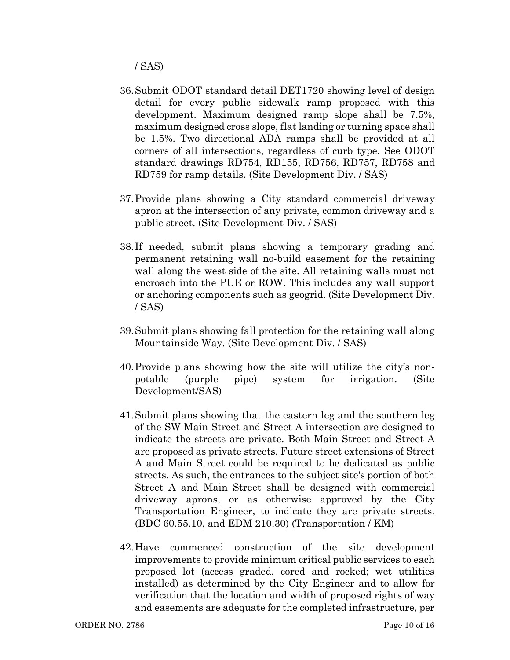/ SAS)

- 36.Submit ODOT standard detail DET1720 showing level of design detail for every public sidewalk ramp proposed with this development. Maximum designed ramp slope shall be 7.5%, maximum designed cross slope, flat landing or turning space shall be 1.5%. Two directional ADA ramps shall be provided at all corners of all intersections, regardless of curb type. See ODOT standard drawings RD754, RD155, RD756, RD757, RD758 and RD759 for ramp details. (Site Development Div. / SAS)
- 37.Provide plans showing a City standard commercial driveway apron at the intersection of any private, common driveway and a public street. (Site Development Div. / SAS)
- 38. If needed, submit plans showing a temporary grading and permanent retaining wall no-build easement for the retaining wall along the west side of the site. All retaining walls must not encroach into the PUE or ROW. This includes any wall support or anchoring components such as geogrid. (Site Development Div. / SAS)
- 39.Submit plans showing fall protection for the retaining wall along Mountainside Way. (Site Development Div. / SAS)
- 40.Provide plans showing how the site will utilize the city's nonpotable (purple pipe) system for irrigation. (Site Development/SAS)
- 41.Submit plans showing that the eastern leg and the southern leg of the SW Main Street and Street A intersection are designed to indicate the streets are private. Both Main Street and Street A are proposed as private streets. Future street extensions of Street A and Main Street could be required to be dedicated as public streets. As such, the entrances to the subject site's portion of both Street A and Main Street shall be designed with commercial driveway aprons, or as otherwise approved by the City Transportation Engineer, to indicate they are private streets. (BDC 60.55.10, and EDM 210.30) (Transportation / KM)
- 42.Have commenced construction of the site development improvements to provide minimum critical public services to each proposed lot (access graded, cored and rocked; wet utilities installed) as determined by the City Engineer and to allow for verification that the location and width of proposed rights of way and easements are adequate for the completed infrastructure, per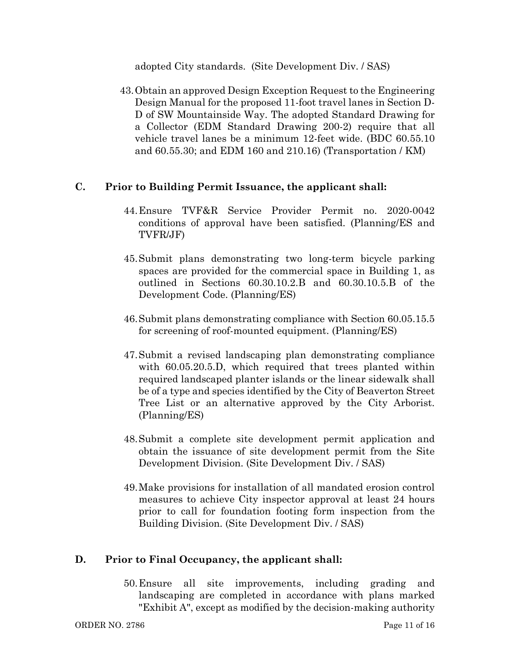adopted City standards. (Site Development Div. / SAS)

43.Obtain an approved Design Exception Request to the Engineering Design Manual for the proposed 11-foot travel lanes in Section D-D of SW Mountainside Way. The adopted Standard Drawing for a Collector (EDM Standard Drawing 200-2) require that all vehicle travel lanes be a minimum 12-feet wide. (BDC 60.55.10 and 60.55.30; and EDM 160 and 210.16) (Transportation / KM)

## **C. Prior to Building Permit Issuance, the applicant shall:**

- 44.Ensure TVF&R Service Provider Permit no. 2020-0042 conditions of approval have been satisfied. (Planning/ES and TVFR/JF)
- 45.Submit plans demonstrating two long-term bicycle parking spaces are provided for the commercial space in Building 1, as outlined in Sections 60.30.10.2.B and 60.30.10.5.B of the Development Code. (Planning/ES)
- 46.Submit plans demonstrating compliance with Section 60.05.15.5 for screening of roof-mounted equipment. (Planning/ES)
- 47.Submit a revised landscaping plan demonstrating compliance with  $60.05.20.5$ . D, which required that trees planted within required landscaped planter islands or the linear sidewalk shall be of a type and species identified by the City of Beaverton Street Tree List or an alternative approved by the City Arborist. (Planning/ES)
- 48.Submit a complete site development permit application and obtain the issuance of site development permit from the Site Development Division. (Site Development Div. / SAS)
- 49.Make provisions for installation of all mandated erosion control measures to achieve City inspector approval at least 24 hours prior to call for foundation footing form inspection from the Building Division. (Site Development Div. / SAS)

# **D. Prior to Final Occupancy, the applicant shall:**

50.Ensure all site improvements, including grading and landscaping are completed in accordance with plans marked "Exhibit A", except as modified by the decision-making authority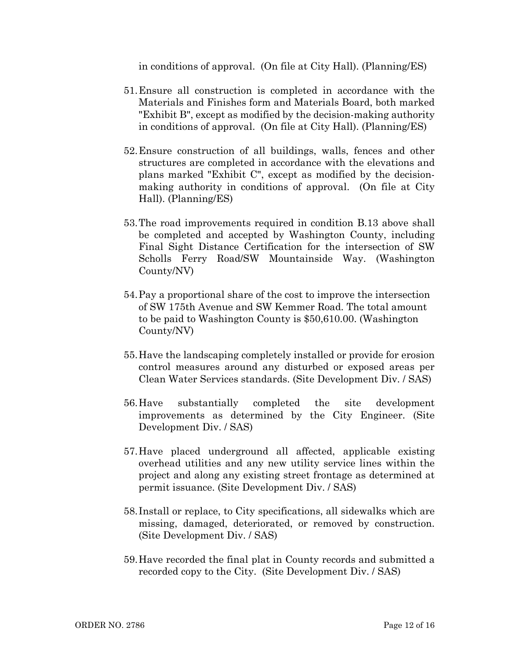in conditions of approval. (On file at City Hall). (Planning/ES)

- 51.Ensure all construction is completed in accordance with the Materials and Finishes form and Materials Board, both marked "Exhibit B", except as modified by the decision-making authority in conditions of approval. (On file at City Hall). (Planning/ES)
- 52.Ensure construction of all buildings, walls, fences and other structures are completed in accordance with the elevations and plans marked "Exhibit C", except as modified by the decisionmaking authority in conditions of approval. (On file at City Hall). (Planning/ES)
- 53.The road improvements required in condition B.13 above shall be completed and accepted by Washington County, including Final Sight Distance Certification for the intersection of SW Scholls Ferry Road/SW Mountainside Way. (Washington County/NV)
- 54.Pay a proportional share of the cost to improve the intersection of SW 175th Avenue and SW Kemmer Road. The total amount to be paid to Washington County is \$50,610.00. (Washington County/NV)
- 55.Have the landscaping completely installed or provide for erosion control measures around any disturbed or exposed areas per Clean Water Services standards. (Site Development Div. / SAS)
- 56.Have substantially completed the site development improvements as determined by the City Engineer. (Site Development Div. / SAS)
- 57.Have placed underground all affected, applicable existing overhead utilities and any new utility service lines within the project and along any existing street frontage as determined at permit issuance. (Site Development Div. / SAS)
- 58. Install or replace, to City specifications, all sidewalks which are missing, damaged, deteriorated, or removed by construction. (Site Development Div. / SAS)
- 59.Have recorded the final plat in County records and submitted a recorded copy to the City. (Site Development Div. / SAS)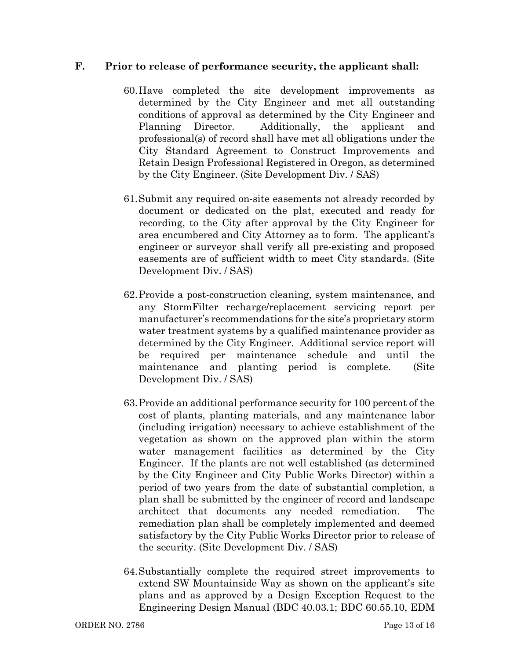### **F. Prior to release of performance security, the applicant shall:**

- 60.Have completed the site development improvements as determined by the City Engineer and met all outstanding conditions of approval as determined by the City Engineer and Planning Director. Additionally, the applicant and professional(s) of record shall have met all obligations under the City Standard Agreement to Construct Improvements and Retain Design Professional Registered in Oregon, as determined by the City Engineer. (Site Development Div. / SAS)
- 61.Submit any required on-site easements not already recorded by document or dedicated on the plat, executed and ready for recording, to the City after approval by the City Engineer for area encumbered and City Attorney as to form. The applicant's engineer or surveyor shall verify all pre-existing and proposed easements are of sufficient width to meet City standards. (Site Development Div. / SAS)
- 62.Provide a post-construction cleaning, system maintenance, and any StormFilter recharge/replacement servicing report per manufacturer's recommendations for the site's proprietary storm water treatment systems by a qualified maintenance provider as determined by the City Engineer. Additional service report will be required per maintenance schedule and until the maintenance and planting period is complete. (Site Development Div. / SAS)
- 63.Provide an additional performance security for 100 percent of the cost of plants, planting materials, and any maintenance labor (including irrigation) necessary to achieve establishment of the vegetation as shown on the approved plan within the storm water management facilities as determined by the City Engineer. If the plants are not well established (as determined by the City Engineer and City Public Works Director) within a period of two years from the date of substantial completion, a plan shall be submitted by the engineer of record and landscape architect that documents any needed remediation. The remediation plan shall be completely implemented and deemed satisfactory by the City Public Works Director prior to release of the security. (Site Development Div. / SAS)
- 64.Substantially complete the required street improvements to extend SW Mountainside Way as shown on the applicant's site plans and as approved by a Design Exception Request to the Engineering Design Manual (BDC 40.03.1; BDC 60.55.10, EDM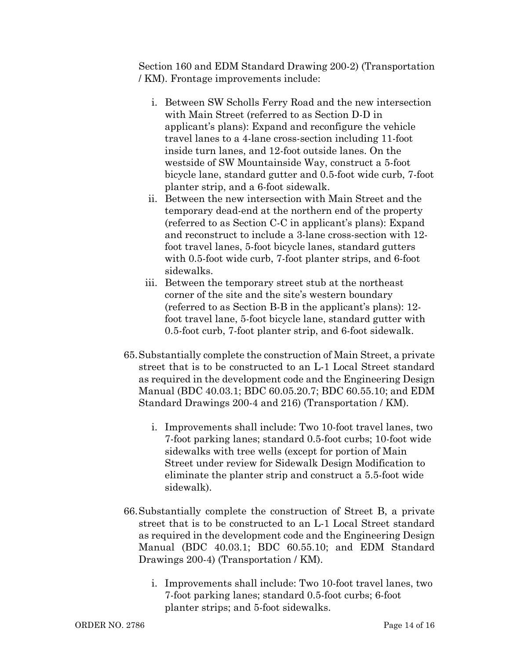Section 160 and EDM Standard Drawing 200-2) (Transportation / KM). Frontage improvements include:

- i. Between SW Scholls Ferry Road and the new intersection with Main Street (referred to as Section D-D in applicant's plans): Expand and reconfigure the vehicle travel lanes to a 4-lane cross-section including 11-foot inside turn lanes, and 12-foot outside lanes. On the westside of SW Mountainside Way, construct a 5-foot bicycle lane, standard gutter and 0.5-foot wide curb, 7-foot planter strip, and a 6-foot sidewalk.
- ii. Between the new intersection with Main Street and the temporary dead-end at the northern end of the property (referred to as Section C-C in applicant's plans): Expand and reconstruct to include a 3-lane cross-section with 12 foot travel lanes, 5-foot bicycle lanes, standard gutters with 0.5-foot wide curb, 7-foot planter strips, and 6-foot sidewalks.
- iii. Between the temporary street stub at the northeast corner of the site and the site's western boundary (referred to as Section B-B in the applicant's plans): 12 foot travel lane, 5-foot bicycle lane, standard gutter with 0.5-foot curb, 7-foot planter strip, and 6-foot sidewalk.
- 65.Substantially complete the construction of Main Street, a private street that is to be constructed to an L-1 Local Street standard as required in the development code and the Engineering Design Manual (BDC 40.03.1; BDC 60.05.20.7; BDC 60.55.10; and EDM Standard Drawings 200-4 and 216) (Transportation / KM).
	- i. Improvements shall include: Two 10-foot travel lanes, two 7-foot parking lanes; standard 0.5-foot curbs; 10-foot wide sidewalks with tree wells (except for portion of Main Street under review for Sidewalk Design Modification to eliminate the planter strip and construct a 5.5-foot wide sidewalk).
- 66.Substantially complete the construction of Street B, a private street that is to be constructed to an L-1 Local Street standard as required in the development code and the Engineering Design Manual (BDC 40.03.1; BDC 60.55.10; and EDM Standard Drawings 200-4) (Transportation / KM).
	- i. Improvements shall include: Two 10-foot travel lanes, two 7-foot parking lanes; standard 0.5-foot curbs; 6-foot planter strips; and 5-foot sidewalks.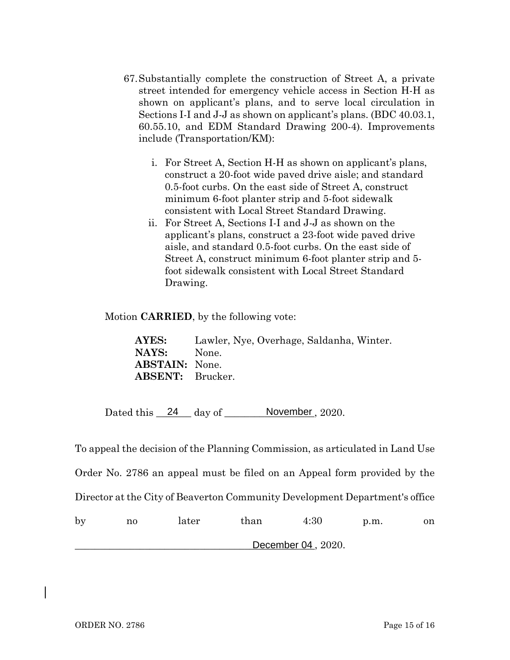- 67.Substantially complete the construction of Street A, a private street intended for emergency vehicle access in Section H-H as shown on applicant's plans, and to serve local circulation in Sections I-I and J-J as shown on applicant's plans. (BDC 40.03.1, 60.55.10, and EDM Standard Drawing 200-4). Improvements include (Transportation/KM):
	- i. For Street A, Section H-H as shown on applicant's plans, construct a 20-foot wide paved drive aisle; and standard 0.5-foot curbs. On the east side of Street A, construct minimum 6-foot planter strip and 5-foot sidewalk consistent with Local Street Standard Drawing.
	- ii. For Street A, Sections I-I and J-J as shown on the applicant's plans, construct a 23-foot wide paved drive aisle, and standard 0.5-foot curbs. On the east side of Street A, construct minimum 6-foot planter strip and 5 foot sidewalk consistent with Local Street Standard Drawing.

Motion **CARRIED**, by the following vote:

**AYES:** Lawler, Nye, Overhage, Saldanha, Winter. **NAYS:** None. **ABSTAIN:** None. **ABSENT:** Brucker.

Dated this  $\frac{24}{4}$  day of  $\frac{N}{2020}$ .

To appeal the decision of the Planning Commission, as articulated in Land Use Order No. 2786 an appeal must be filed on an Appeal form provided by the Director at the City of Beaverton Community Development Department's office by no later than 4:30 p.m. on

\_\_\_\_\_\_\_\_\_\_\_\_\_\_\_\_\_\_\_\_\_\_\_\_\_\_\_\_\_\_\_\_\_\_\_\_\_\_\_\_\_\_\_\_\_\_\_\_, 2020. December 04